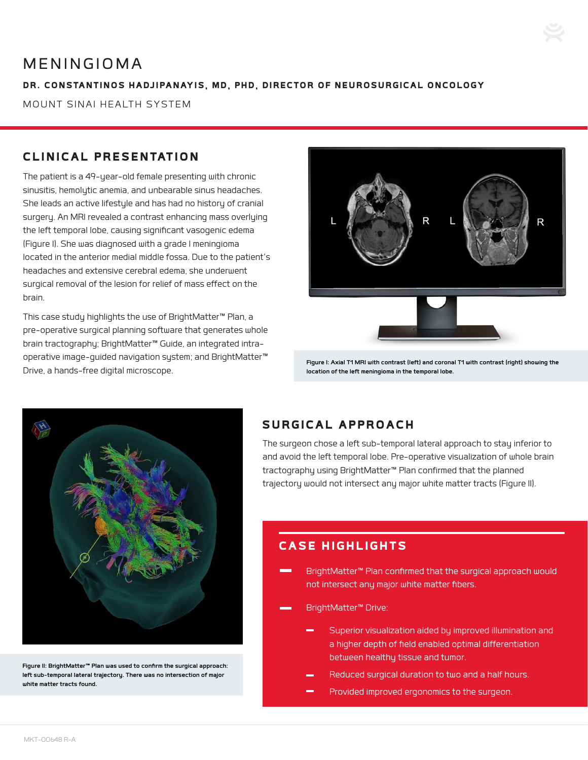# MENINGIOMA

#### DR. CONSTANTINOS HADJIPANAYIS, MD, PHD, DIRECTOR OF NEUROSURGICAL ONCOLOGY

MOUNT SINAI HEALTH SYSTEM

## CLINICAL PRESENTATION

The patient is a 49-year-old female presenting with chronic sinusitis, hemolytic anemia, and unbearable sinus headaches. She leads an active lifestyle and has had no history of cranial surgery. An MRI revealed a contrast enhancing mass overlying the left temporal lobe, causing significant vasogenic edema (Figure I). She was diagnosed with a grade I meningioma located in the anterior medial middle fossa. Due to the patient's headaches and extensive cerebral edema, she underwent surgical removal of the lesion for relief of mass effect on the brain.

This case study highlights the use of BrightMatter™ Plan, a pre-operative surgical planning software that generates whole brain tractography; BrightMatter™ Guide, an integrated intraoperative image-guided navigation system; and BrightMatter™ Drive, a hands-free digital microscope.



**Figure I: Axial T1 MRI with contrast (left) and coronal T1 with contrast (right) showing the location of the left meningioma in the temporal lobe.**



**Figure II: BrightMatter™ Plan was used to confirm the surgical approach: left sub-temporal lateral trajectory. There was no intersection of major white matter tracts found.**

# SURGICAL APPROACH

The surgeon chose a left sub-temporal lateral approach to stay inferior to and avoid the left temporal lobe. Pre-operative visualization of whole brain tractography using BrightMatter™ Plan confirmed that the planned trajectory would not intersect any major white matter tracts (Figure II).

## CASE HIGHLIGHTS

- BrightMatter™ Plan confirmed that the surgical approach would not intersect any major white matter fibers.
- BrightMatter™ Drive:
	- Superior visualization aided by improved illumination and a higher depth of field enabled optimal differentiation between healthy tissue and tumor.
	- Reduced surgical duration to two and a half hours.
	- Provided improved ergonomics to the surgeon.